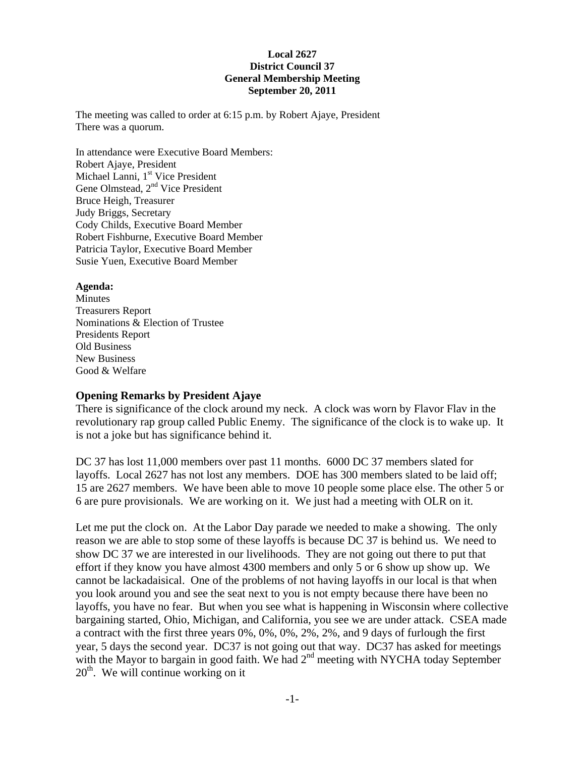#### **Local 2627 District Council 37 General Membership Meeting September 20, 2011**

The meeting was called to order at 6:15 p.m. by Robert Ajaye, President There was a quorum.

In attendance were Executive Board Members: Robert Ajaye, President Michael Lanni, 1<sup>st</sup> Vice President Gene Olmstead, 2<sup>nd</sup> Vice President Bruce Heigh, Treasurer Judy Briggs, Secretary Cody Childs, Executive Board Member Robert Fishburne, Executive Board Member Patricia Taylor, Executive Board Member Susie Yuen, Executive Board Member

#### **Agenda:**

Minutes Treasurers Report Nominations & Election of Trustee Presidents Report Old Business New Business Good & Welfare

#### **Opening Remarks by President Ajaye**

There is significance of the clock around my neck. A clock was worn by Flavor Flav in the revolutionary rap group called Public Enemy. The significance of the clock is to wake up. It is not a joke but has significance behind it.

DC 37 has lost 11,000 members over past 11 months. 6000 DC 37 members slated for layoffs. Local 2627 has not lost any members. DOE has 300 members slated to be laid off; 15 are 2627 members. We have been able to move 10 people some place else. The other 5 or 6 are pure provisionals. We are working on it. We just had a meeting with OLR on it.

Let me put the clock on. At the Labor Day parade we needed to make a showing. The only reason we are able to stop some of these layoffs is because DC 37 is behind us. We need to show DC 37 we are interested in our livelihoods. They are not going out there to put that effort if they know you have almost 4300 members and only 5 or 6 show up show up. We cannot be lackadaisical. One of the problems of not having layoffs in our local is that when you look around you and see the seat next to you is not empty because there have been no layoffs, you have no fear. But when you see what is happening in Wisconsin where collective bargaining started, Ohio, Michigan, and California, you see we are under attack. CSEA made a contract with the first three years 0%, 0%, 0%, 2%, 2%, and 9 days of furlough the first year, 5 days the second year. DC37 is not going out that way. DC37 has asked for meetings with the Mayor to bargain in good faith. We had 2<sup>nd</sup> meeting with NYCHA today September  $20<sup>th</sup>$ . We will continue working on it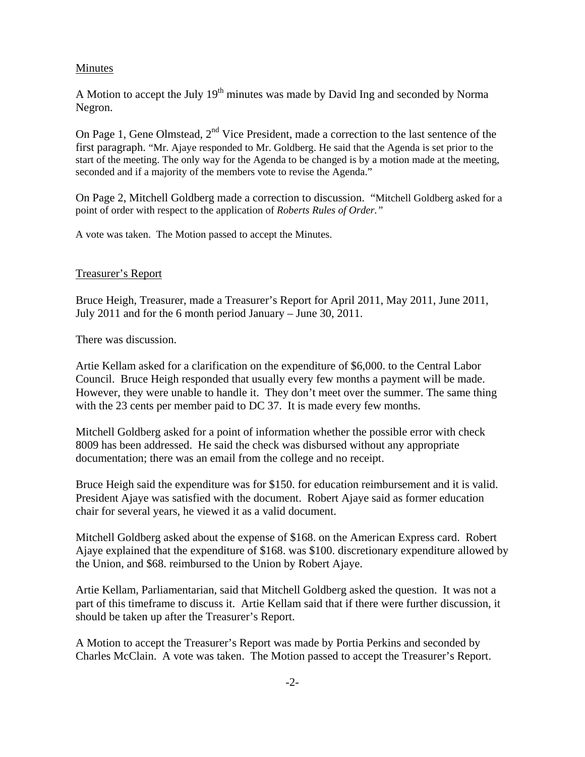#### Minutes

A Motion to accept the July  $19<sup>th</sup>$  minutes was made by David Ing and seconded by Norma Negron.

On Page 1, Gene Olmstead,  $2<sup>nd</sup>$  Vice President, made a correction to the last sentence of the first paragraph. "Mr. Ajaye responded to Mr. Goldberg. He said that the Agenda is set prior to the start of the meeting. The only way for the Agenda to be changed is by a motion made at the meeting, seconded and if a majority of the members vote to revise the Agenda."

On Page 2, Mitchell Goldberg made a correction to discussion. "Mitchell Goldberg asked for a point of order with respect to the application of *Roberts Rules of Order."* 

A vote was taken. The Motion passed to accept the Minutes.

#### Treasurer's Report

Bruce Heigh, Treasurer, made a Treasurer's Report for April 2011, May 2011, June 2011, July 2011 and for the 6 month period January – June 30, 2011.

There was discussion.

Artie Kellam asked for a clarification on the expenditure of \$6,000. to the Central Labor Council. Bruce Heigh responded that usually every few months a payment will be made. However, they were unable to handle it. They don't meet over the summer. The same thing with the 23 cents per member paid to DC 37. It is made every few months.

Mitchell Goldberg asked for a point of information whether the possible error with check 8009 has been addressed. He said the check was disbursed without any appropriate documentation; there was an email from the college and no receipt.

Bruce Heigh said the expenditure was for \$150. for education reimbursement and it is valid. President Ajaye was satisfied with the document. Robert Ajaye said as former education chair for several years, he viewed it as a valid document.

Mitchell Goldberg asked about the expense of \$168. on the American Express card. Robert Ajaye explained that the expenditure of \$168. was \$100. discretionary expenditure allowed by the Union, and \$68. reimbursed to the Union by Robert Ajaye.

Artie Kellam, Parliamentarian, said that Mitchell Goldberg asked the question. It was not a part of this timeframe to discuss it. Artie Kellam said that if there were further discussion, it should be taken up after the Treasurer's Report.

A Motion to accept the Treasurer's Report was made by Portia Perkins and seconded by Charles McClain. A vote was taken. The Motion passed to accept the Treasurer's Report.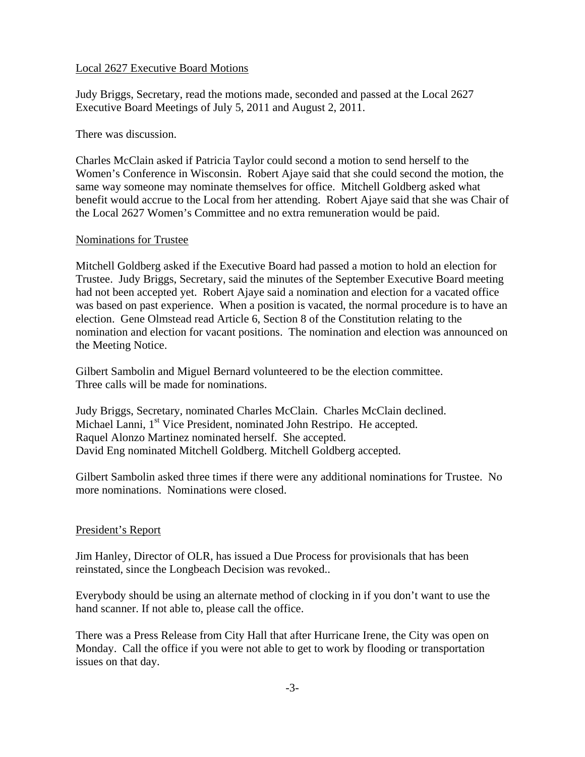#### Local 2627 Executive Board Motions

Judy Briggs, Secretary, read the motions made, seconded and passed at the Local 2627 Executive Board Meetings of July 5, 2011 and August 2, 2011.

There was discussion.

Charles McClain asked if Patricia Taylor could second a motion to send herself to the Women's Conference in Wisconsin. Robert Ajaye said that she could second the motion, the same way someone may nominate themselves for office. Mitchell Goldberg asked what benefit would accrue to the Local from her attending. Robert Ajaye said that she was Chair of the Local 2627 Women's Committee and no extra remuneration would be paid.

#### Nominations for Trustee

Mitchell Goldberg asked if the Executive Board had passed a motion to hold an election for Trustee. Judy Briggs, Secretary, said the minutes of the September Executive Board meeting had not been accepted yet. Robert Ajaye said a nomination and election for a vacated office was based on past experience. When a position is vacated, the normal procedure is to have an election. Gene Olmstead read Article 6, Section 8 of the Constitution relating to the nomination and election for vacant positions. The nomination and election was announced on the Meeting Notice.

Gilbert Sambolin and Miguel Bernard volunteered to be the election committee. Three calls will be made for nominations.

Judy Briggs, Secretary, nominated Charles McClain. Charles McClain declined. Michael Lanni, 1<sup>st</sup> Vice President, nominated John Restripo. He accepted. Raquel Alonzo Martinez nominated herself. She accepted. David Eng nominated Mitchell Goldberg. Mitchell Goldberg accepted.

Gilbert Sambolin asked three times if there were any additional nominations for Trustee. No more nominations. Nominations were closed.

#### President's Report

Jim Hanley, Director of OLR, has issued a Due Process for provisionals that has been reinstated, since the Longbeach Decision was revoked..

Everybody should be using an alternate method of clocking in if you don't want to use the hand scanner. If not able to, please call the office.

There was a Press Release from City Hall that after Hurricane Irene, the City was open on Monday. Call the office if you were not able to get to work by flooding or transportation issues on that day.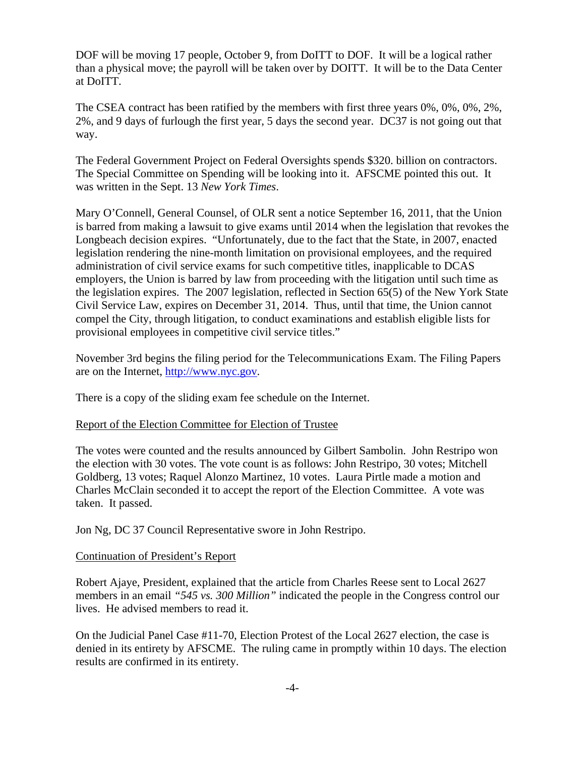DOF will be moving 17 people, October 9, from DoITT to DOF. It will be a logical rather than a physical move; the payroll will be taken over by DOITT. It will be to the Data Center at DoITT.

The CSEA contract has been ratified by the members with first three years 0%, 0%, 0%, 2%, 2%, and 9 days of furlough the first year, 5 days the second year. DC37 is not going out that way.

The Federal Government Project on Federal Oversights spends \$320. billion on contractors. The Special Committee on Spending will be looking into it. AFSCME pointed this out. It was written in the Sept. 13 *New York Times*.

Mary O'Connell, General Counsel, of OLR sent a notice September 16, 2011, that the Union is barred from making a lawsuit to give exams until 2014 when the legislation that revokes the Longbeach decision expires. "Unfortunately, due to the fact that the State, in 2007, enacted legislation rendering the nine-month limitation on provisional employees, and the required administration of civil service exams for such competitive titles, inapplicable to DCAS employers, the Union is barred by law from proceeding with the litigation until such time as the legislation expires. The 2007 legislation, reflected in Section 65(5) of the New York State Civil Service Law, expires on December 31, 2014. Thus, until that time, the Union cannot compel the City, through litigation, to conduct examinations and establish eligible lists for provisional employees in competitive civil service titles."

November 3rd begins the filing period for the Telecommunications Exam. The Filing Papers are on the Internet, http://www.nyc.gov.

There is a copy of the sliding exam fee schedule on the Internet.

#### Report of the Election Committee for Election of Trustee

The votes were counted and the results announced by Gilbert Sambolin. John Restripo won the election with 30 votes. The vote count is as follows: John Restripo, 30 votes; Mitchell Goldberg, 13 votes; Raquel Alonzo Martinez, 10 votes. Laura Pirtle made a motion and Charles McClain seconded it to accept the report of the Election Committee. A vote was taken. It passed.

Jon Ng, DC 37 Council Representative swore in John Restripo.

#### Continuation of President's Report

Robert Ajaye, President, explained that the article from Charles Reese sent to Local 2627 members in an email *"545 vs. 300 Million"* indicated the people in the Congress control our lives. He advised members to read it.

On the Judicial Panel Case #11-70, Election Protest of the Local 2627 election, the case is denied in its entirety by AFSCME. The ruling came in promptly within 10 days. The election results are confirmed in its entirety.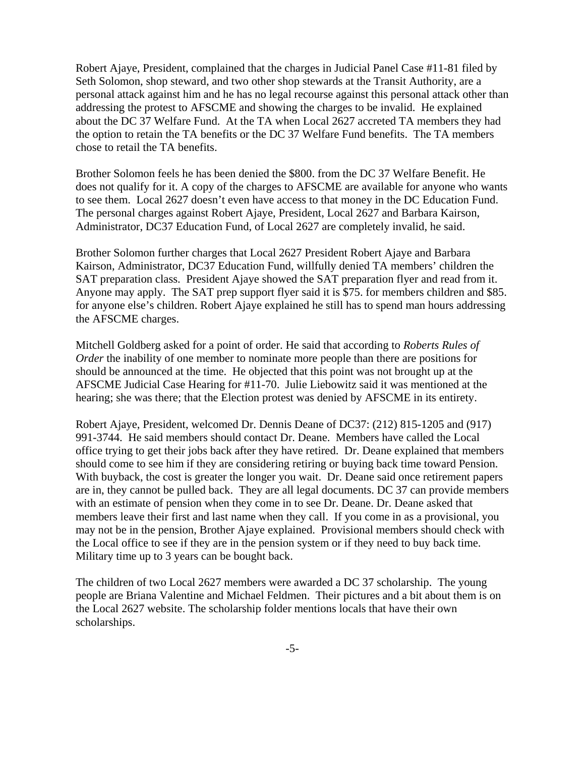Robert Ajaye, President, complained that the charges in Judicial Panel Case #11-81 filed by Seth Solomon, shop steward, and two other shop stewards at the Transit Authority, are a personal attack against him and he has no legal recourse against this personal attack other than addressing the protest to AFSCME and showing the charges to be invalid. He explained about the DC 37 Welfare Fund. At the TA when Local 2627 accreted TA members they had the option to retain the TA benefits or the DC 37 Welfare Fund benefits. The TA members chose to retail the TA benefits.

Brother Solomon feels he has been denied the \$800. from the DC 37 Welfare Benefit. He does not qualify for it. A copy of the charges to AFSCME are available for anyone who wants to see them. Local 2627 doesn't even have access to that money in the DC Education Fund. The personal charges against Robert Ajaye, President, Local 2627 and Barbara Kairson, Administrator, DC37 Education Fund, of Local 2627 are completely invalid, he said.

Brother Solomon further charges that Local 2627 President Robert Ajaye and Barbara Kairson, Administrator, DC37 Education Fund, willfully denied TA members' children the SAT preparation class. President Ajaye showed the SAT preparation flyer and read from it. Anyone may apply. The SAT prep support flyer said it is \$75. for members children and \$85. for anyone else's children. Robert Ajaye explained he still has to spend man hours addressing the AFSCME charges.

Mitchell Goldberg asked for a point of order. He said that according to *Roberts Rules of Order* the inability of one member to nominate more people than there are positions for should be announced at the time. He objected that this point was not brought up at the AFSCME Judicial Case Hearing for #11-70. Julie Liebowitz said it was mentioned at the hearing; she was there; that the Election protest was denied by AFSCME in its entirety.

Robert Ajaye, President, welcomed Dr. Dennis Deane of DC37: (212) 815-1205 and (917) 991-3744. He said members should contact Dr. Deane. Members have called the Local office trying to get their jobs back after they have retired. Dr. Deane explained that members should come to see him if they are considering retiring or buying back time toward Pension. With buyback, the cost is greater the longer you wait. Dr. Deane said once retirement papers are in, they cannot be pulled back. They are all legal documents. DC 37 can provide members with an estimate of pension when they come in to see Dr. Deane. Dr. Deane asked that members leave their first and last name when they call. If you come in as a provisional, you may not be in the pension, Brother Ajaye explained. Provisional members should check with the Local office to see if they are in the pension system or if they need to buy back time. Military time up to 3 years can be bought back.

The children of two Local 2627 members were awarded a DC 37 scholarship. The young people are Briana Valentine and Michael Feldmen. Their pictures and a bit about them is on the Local 2627 website. The scholarship folder mentions locals that have their own scholarships.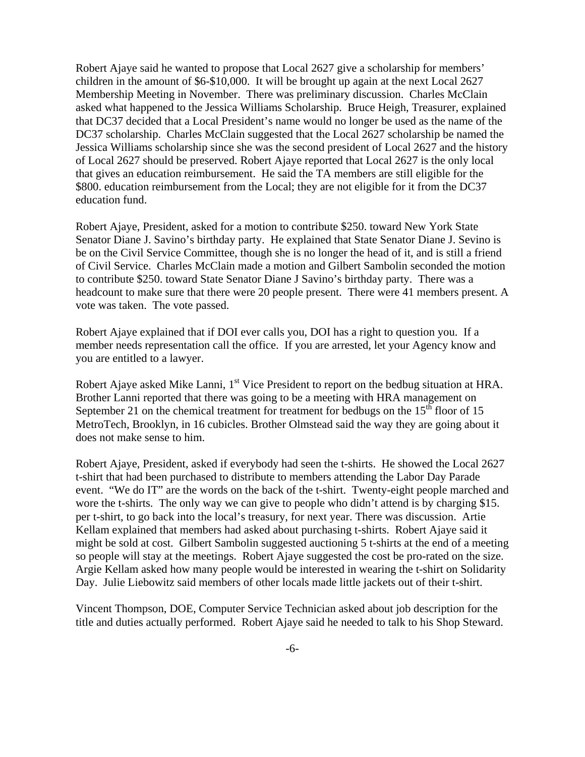Robert Ajaye said he wanted to propose that Local 2627 give a scholarship for members' children in the amount of \$6-\$10,000. It will be brought up again at the next Local 2627 Membership Meeting in November. There was preliminary discussion. Charles McClain asked what happened to the Jessica Williams Scholarship. Bruce Heigh, Treasurer, explained that DC37 decided that a Local President's name would no longer be used as the name of the DC37 scholarship. Charles McClain suggested that the Local 2627 scholarship be named the Jessica Williams scholarship since she was the second president of Local 2627 and the history of Local 2627 should be preserved. Robert Ajaye reported that Local 2627 is the only local that gives an education reimbursement. He said the TA members are still eligible for the \$800. education reimbursement from the Local; they are not eligible for it from the DC37 education fund.

Robert Ajaye, President, asked for a motion to contribute \$250. toward New York State Senator Diane J. Savino's birthday party. He explained that State Senator Diane J. Sevino is be on the Civil Service Committee, though she is no longer the head of it, and is still a friend of Civil Service. Charles McClain made a motion and Gilbert Sambolin seconded the motion to contribute \$250. toward State Senator Diane J Savino's birthday party. There was a headcount to make sure that there were 20 people present. There were 41 members present. A vote was taken. The vote passed.

Robert Ajaye explained that if DOI ever calls you, DOI has a right to question you. If a member needs representation call the office. If you are arrested, let your Agency know and you are entitled to a lawyer.

Robert Ajaye asked Mike Lanni, 1<sup>st</sup> Vice President to report on the bedbug situation at HRA. Brother Lanni reported that there was going to be a meeting with HRA management on September 21 on the chemical treatment for treatment for bedbugs on the  $15<sup>th</sup>$  floor of 15 MetroTech, Brooklyn, in 16 cubicles. Brother Olmstead said the way they are going about it does not make sense to him.

Robert Ajaye, President, asked if everybody had seen the t-shirts. He showed the Local 2627 t-shirt that had been purchased to distribute to members attending the Labor Day Parade event. "We do IT" are the words on the back of the t-shirt. Twenty-eight people marched and wore the t-shirts. The only way we can give to people who didn't attend is by charging \$15. per t-shirt, to go back into the local's treasury, for next year. There was discussion. Artie Kellam explained that members had asked about purchasing t-shirts. Robert Ajaye said it might be sold at cost. Gilbert Sambolin suggested auctioning 5 t-shirts at the end of a meeting so people will stay at the meetings. Robert Ajaye suggested the cost be pro-rated on the size. Argie Kellam asked how many people would be interested in wearing the t-shirt on Solidarity Day. Julie Liebowitz said members of other locals made little jackets out of their t-shirt.

Vincent Thompson, DOE, Computer Service Technician asked about job description for the title and duties actually performed. Robert Ajaye said he needed to talk to his Shop Steward.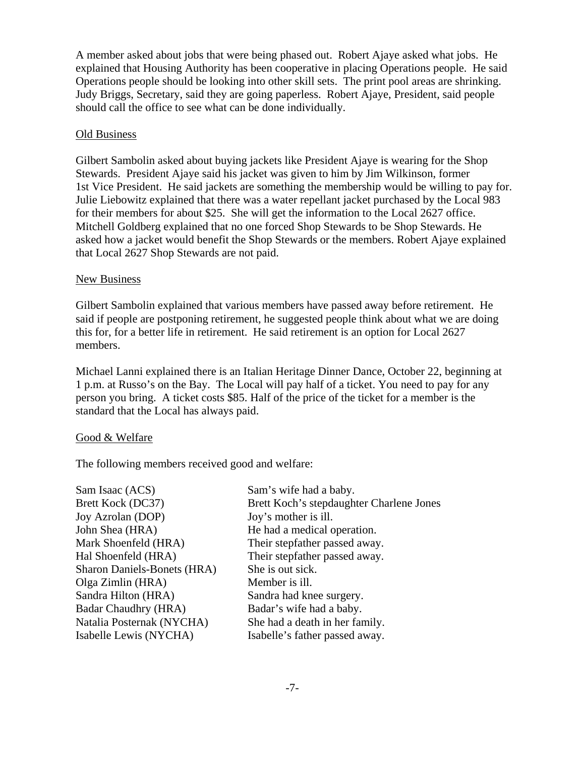A member asked about jobs that were being phased out. Robert Ajaye asked what jobs. He explained that Housing Authority has been cooperative in placing Operations people. He said Operations people should be looking into other skill sets. The print pool areas are shrinking. Judy Briggs, Secretary, said they are going paperless. Robert Ajaye, President, said people should call the office to see what can be done individually.

#### Old Business

Gilbert Sambolin asked about buying jackets like President Ajaye is wearing for the Shop Stewards. President Ajaye said his jacket was given to him by Jim Wilkinson, former 1st Vice President. He said jackets are something the membership would be willing to pay for. Julie Liebowitz explained that there was a water repellant jacket purchased by the Local 983 for their members for about \$25. She will get the information to the Local 2627 office. Mitchell Goldberg explained that no one forced Shop Stewards to be Shop Stewards. He asked how a jacket would benefit the Shop Stewards or the members. Robert Ajaye explained that Local 2627 Shop Stewards are not paid.

#### New Business

Gilbert Sambolin explained that various members have passed away before retirement. He said if people are postponing retirement, he suggested people think about what we are doing this for, for a better life in retirement. He said retirement is an option for Local 2627 members.

Michael Lanni explained there is an Italian Heritage Dinner Dance, October 22, beginning at 1 p.m. at Russo's on the Bay. The Local will pay half of a ticket. You need to pay for any person you bring. A ticket costs \$85. Half of the price of the ticket for a member is the standard that the Local has always paid.

#### Good & Welfare

The following members received good and welfare:

| Sam's wife had a baby.                   |
|------------------------------------------|
| Brett Koch's stepdaughter Charlene Jones |
| Joy's mother is ill.                     |
| He had a medical operation.              |
| Their stepfather passed away.            |
| Their stepfather passed away.            |
| She is out sick.                         |
| Member is ill.                           |
| Sandra had knee surgery.                 |
| Badar's wife had a baby.                 |
| She had a death in her family.           |
| Isabelle's father passed away.           |
|                                          |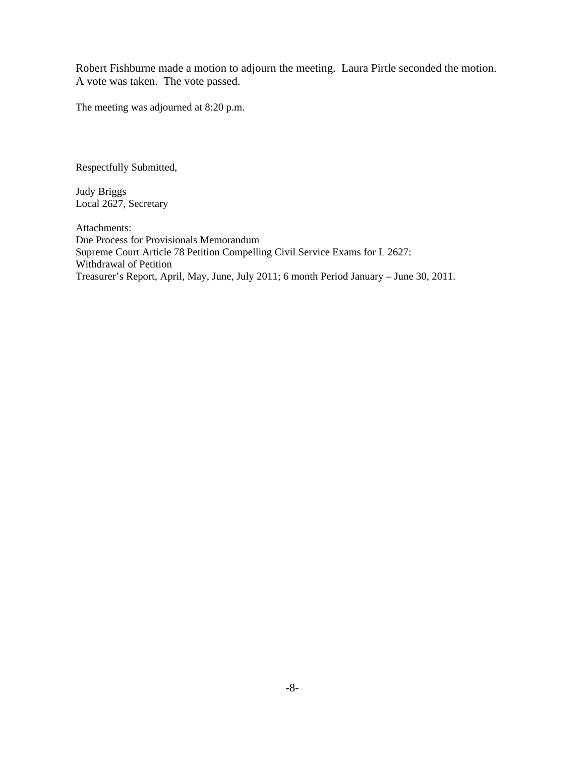Robert Fishburne made a motion to adjourn the meeting. Laura Pirtle seconded the motion. A vote was taken. The vote passed.

The meeting was adjourned at 8:20 p.m.

Respectfully Submitted,

Judy Briggs Local 2627, Secretary

Attachments: Due Process for Provisionals Memorandum Supreme Court Article 78 Petition Compelling Civil Service Exams for L 2627: Withdrawal of Petition Treasurer's Report, April, May, June, July 2011; 6 month Period January – June 30, 2011.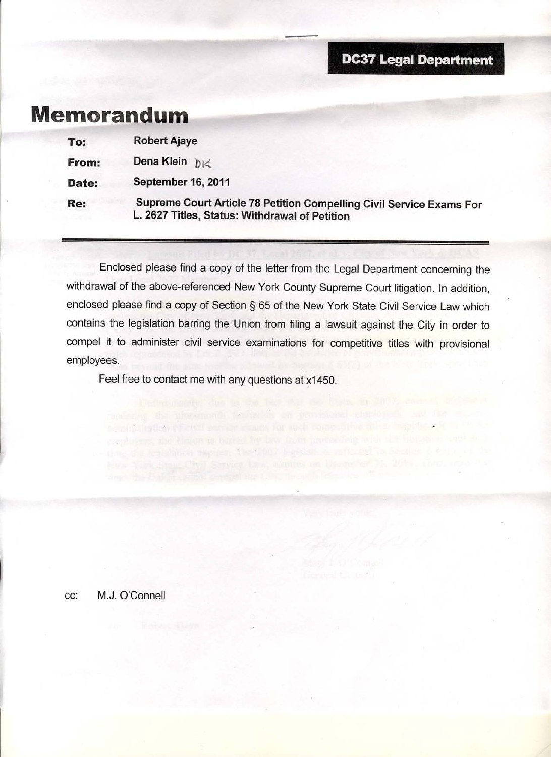## **DC37 Legal Department**

# **Memorandum**

| To:   | <b>Robert Ajaye</b>                                                                                                    |
|-------|------------------------------------------------------------------------------------------------------------------------|
| From: | Dena Klein $\tilde{p}_{1}<$                                                                                            |
| Date: | September 16, 2011                                                                                                     |
| Re:   | Supreme Court Article 78 Petition Compelling Civil Service Exams For<br>L. 2627 Titles, Status: Withdrawal of Petition |

Enclosed please find a copy of the letter from the Legal Department concerning the withdrawal of the above-referenced New York County Supreme Court litigation. In addition, enclosed please find a copy of Section § 65 of the New York State Civil Service Law which contains the legislation barring the Union from filing a lawsuit against the City in order to compel it to administer civil service examinations for competitive titles with provisional employees.

Feel free to contact me with any questions at x1450.

randstang the more mondy flexiber on provisional interloy-of-

signification of ered conservations and competitive attachments and

ie the lead hood movies. The 7007 butshift is inflected to Section 6 6 at 1 at

M.J. O'Connell CC: